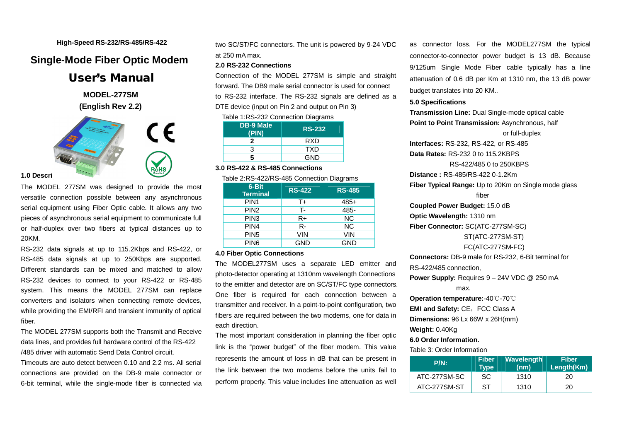#### **High-Speed RS-232/RS-485/RS-422**

# **Single-Mode Fiber Optic Modem**

**User's Manual** 

 **MODEL-277SM (English Rev 2.2)** 



# **1.0 Descri**

The MODEL 277SM was designed to provide the most versatile connection possible between any asynchronous serial equipment using Fiber Optic cable. It allows any two pieces of asynchronous serial equipment to communicate full or half-duplex over two fibers at typical distances up to 20KM.

RS-232 data signals at up to 115.2Kbps and RS-422, or RS-485 data signals at up to 250Kbps are supported. Different standards can be mixed and matched to allow RS-232 devices to connect to your RS-422 or RS-485 system. This means the MODEL 277SM can replace converters and isolators when connecting remote devices, while providing the EMI/RFI and transient immunity of optical fiber.

The MODEL 277SM supports both the Transmit and Receive data lines, and provides full hardware control of the RS-422 /485 driver with automatic Send Data Control circuit.

Timeouts are auto detect between 0.10 and 2.2 ms. All serial connections are provided on the DB-9 male connector or 6-bit terminal, while the single-mode fiber is connected via two SC/ST/FC connectors. The unit is powered by 9-24 VDC at 250 mA max.

### **2.0 RS-232 Connections**

Connection of the MODEL 277SM is simple and straight forward. The DB9 male serial connector is used for connect to RS-232 interface. The RS-232 signals are defined as a DTE device (input on Pin 2 and output on Pin 3)

Table 1:RS-232 Connection Diagrams

| <b>DB-9 Male</b><br>(PIN) | <b>RS-232</b> |  |
|---------------------------|---------------|--|
|                           | <b>RXD</b>    |  |
|                           | <b>TXD</b>    |  |
| 5                         | <b>GND</b>    |  |

## **3.0 RS-422 & RS-485 Connections**

Table 2:RS-422/RS-485 Connection Diagrams

| 6-Bit<br><b>Terminal</b> | <b>RS-422</b> | <b>RS-485</b> |
|--------------------------|---------------|---------------|
| PIN <sub>1</sub>         | T+            | $485+$        |
| PIN <sub>2</sub>         | т.            | 485-          |
| PIN <sub>3</sub>         | $R+$          | <b>NC</b>     |
| PIN4                     | R-            | <b>NC</b>     |
| PIN <sub>5</sub>         | VIN           | VIN           |
| PIN <sub>6</sub>         | GND           | GND           |

#### **4.0 Fiber Optic Connections**

The MODEL277SM uses a separate LED emitter and photo-detector operating at 1310nm wavelength Connections to the emitter and detector are on SC/ST/FC type connectors. One fiber is required for each connection between a transmitter and receiver. In a point-to-point configuration, two fibers are required between the two modems, one for data in each direction.

The most important consideration in planning the fiber optic link is the "power budget" of the fiber modem. This value represents the amount of loss in dB that can be present in the link between the two modems before the units fail to perform properly. This value includes line attenuation as well

as connector loss. For the MODEL277SM the typical connector-to-connector power budget is 13 dB. Because 9/125um Single Mode Fiber cable typically has a line attenuation of 0.6 dB per Km at 1310 nm, the 13 dB power budget translates into 20 KM..

#### **5.0 Specifications**

**Transmission Line:** Dual Single-mode optical cable **Point to Point Transmission:** Asynchronous, half or full-duplex **Interfaces:** RS-232, RS-422, or RS-485 **Data Rates:** RS-232 0 to 115.2KBPS RS-422/485 0 to 250KBPS **Distance :** RS-485/RS-422 0-1.2Km **Fiber Typical Range:** Up to 20Km on Single mode glass fiber **Coupled Power Budget:** 15.0 dB **Optic Wavelength:** 1310 nm **Fiber Connector:** SC(ATC-277SM-SC) ST(ATC-277SM-ST) FC(ATC-277SM-FC) **Connectors:** DB-9 male for RS-232, 6-Bit terminal for

RS-422/485 connection,

**Power Supply:** Requires 9 – 24V VDC @ 250 mA

max.

**Operation temperature:**-40℃-70℃ **EMI** and Safety: CE, FCC Class A **Dimensions:** 96 Lx 66W x 26H(mm)

**Weight:** 0.40Kg

# **6.0 Order Information.**

Table 3: Order Information

| $P/N$ :      | <b>Fiber</b><br>Type | <b>Wavelength</b><br>(nm) | <b>Fiber</b><br>Length(Km) |
|--------------|----------------------|---------------------------|----------------------------|
| ATC-277SM-SC | SC                   | 1310                      | 20                         |
| ATC-277SM-ST | ST                   | 1310                      | 20                         |